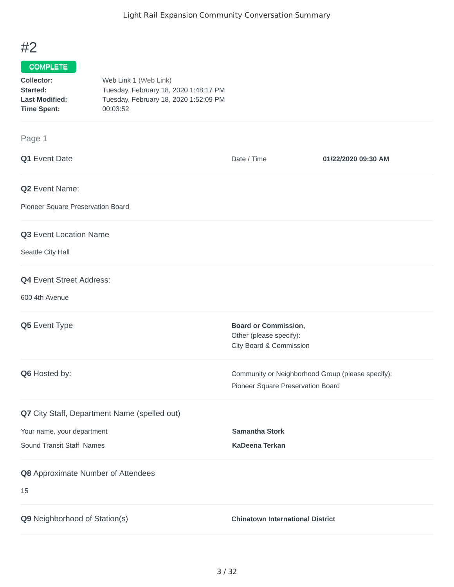## #2

## COMPLETE

| Collector:            | Web Link 1 (Web Link)                 |
|-----------------------|---------------------------------------|
| Started:              | Tuesday, February 18, 2020 1:48:17 PM |
| <b>Last Modified:</b> | Tuesday, February 18, 2020 1:52:09 PM |
| <b>Time Spent:</b>    | 00:03:52                              |

## Page 1

| Q1 Event Date                                | Date / Time                                                                            | 01/22/2020 09:30 AM |
|----------------------------------------------|----------------------------------------------------------------------------------------|---------------------|
| Q2 Event Name:                               |                                                                                        |                     |
| Pioneer Square Preservation Board            |                                                                                        |                     |
| Q3 Event Location Name                       |                                                                                        |                     |
| Seattle City Hall                            |                                                                                        |                     |
| <b>Q4</b> Event Street Address:              |                                                                                        |                     |
| 600 4th Avenue                               |                                                                                        |                     |
| Q5 Event Type                                | <b>Board or Commission,</b><br>Other (please specify):<br>City Board & Commission      |                     |
| Q6 Hosted by:                                | Community or Neighborhood Group (please specify):<br>Pioneer Square Preservation Board |                     |
| Q7 City Staff, Department Name (spelled out) |                                                                                        |                     |
| Your name, your department                   | <b>Samantha Stork</b>                                                                  |                     |
| Sound Transit Staff Names                    | KaDeena Terkan                                                                         |                     |
| Q8 Approximate Number of Attendees           |                                                                                        |                     |
| 15                                           |                                                                                        |                     |
| Q9 Neighborhood of Station(s)                | <b>Chinatown International District</b>                                                |                     |